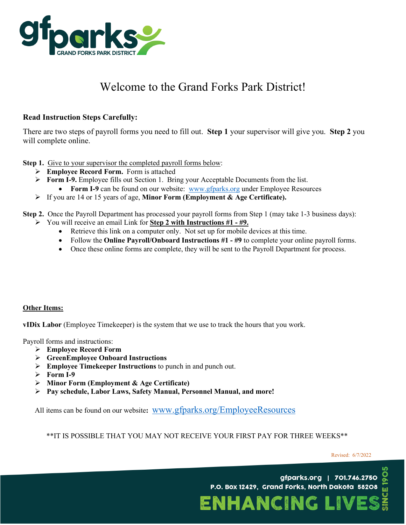

# Welcome to the Grand Forks Park District!

### **Read Instruction Steps Carefully:**

There are two steps of payroll forms you need to fill out. **Step 1** your supervisor will give you. **Step 2** you will complete online.

**Step 1.** Give to your supervisor the completed payroll forms below:

- **Employee Record Form.** Form is attached
- **Form I-9.** Employee fills out Section 1. Bring your Acceptable Documents from the list.
	- **Form I-9** can be found on our website: [www.gfparks.org](http://www.gfparks.org/) under Employee Resources
- If you are 14 or 15 years of age, **Minor Form (Employment & Age Certificate).**

**Step 2.** Once the Payroll Department has processed your payroll forms from Step 1 (may take 1-3 business days):

- You will receive an email Link for **Step 2 with Instructions #1 - #9.**
	- Retrieve this link on a computer only. Not set up for mobile devices at this time.
	- Follow the **Online Payroll/Onboard Instructions #1 - #9** to complete your online payroll forms.
	- Once these online forms are complete, they will be sent to the Payroll Department for process.

### **Other Items:**

**vIDix Labor** (Employee Timekeeper) is the system that we use to track the hours that you work.

Payroll forms and instructions:

- **Employee Record Form**
- **GreenEmployee Onboard Instructions**
- **Employee Timekeeper Instructions** to punch in and punch out.
- $\triangleright$  Form I-9
- **Minor Form (Employment & Age Certificate)**
- **Pay schedule, Labor Laws, Safety Manual, Personnel Manual, and more!**

All items can be found on our website**:** [www.gfparks.org/EmployeeResources](http://www.gfparks.org/EmployeeResources)

\*\*IT IS POSSIBLE THAT YOU MAY NOT RECEIVE YOUR FIRST PAY FOR THREE WEEKS\*\*

gfparks.org | 701.746.2750 P.O. Box 12429, Grand Forks, North Dakota 58208

ENHANCING L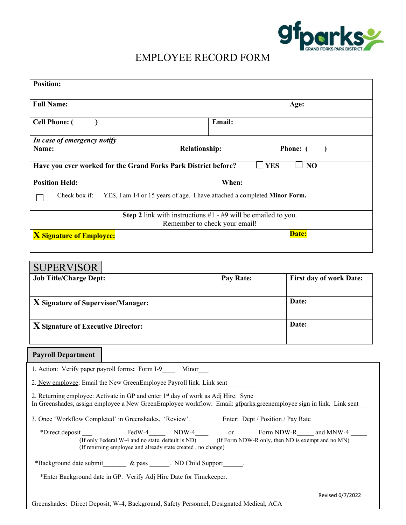

# EMPLOYEE RECORD FORM

| <b>Position:</b>                                |                                                                                                                                                                                                                     |               |                                                                           |
|-------------------------------------------------|---------------------------------------------------------------------------------------------------------------------------------------------------------------------------------------------------------------------|---------------|---------------------------------------------------------------------------|
| <b>Full Name:</b>                               |                                                                                                                                                                                                                     |               | Age:                                                                      |
| <b>Cell Phone: (</b>                            |                                                                                                                                                                                                                     | Email:        |                                                                           |
| In case of emergency notify<br>Name:            | <b>Relationship:</b>                                                                                                                                                                                                |               | Phone: (<br>$\lambda$                                                     |
|                                                 | Have you ever worked for the Grand Forks Park District before?                                                                                                                                                      |               | $\sqcup$ YES<br>$\Box$ No                                                 |
| <b>Position Held:</b>                           | When:                                                                                                                                                                                                               |               |                                                                           |
| Check box if:                                   | YES, I am 14 or 15 years of age. I have attached a completed Minor Form.                                                                                                                                            |               |                                                                           |
|                                                 | <b>Step 2</b> link with instructions $#1 - #9$ will be emailed to you.<br>Remember to check your email!                                                                                                             |               |                                                                           |
| <b>X</b> Signature of Employee:                 |                                                                                                                                                                                                                     |               | Date:                                                                     |
| <b>SUPERVISOR</b>                               |                                                                                                                                                                                                                     |               |                                                                           |
| <b>Job Title/Charge Dept:</b>                   |                                                                                                                                                                                                                     | Pay Rate:     | <b>First day of work Date:</b>                                            |
| X Signature of Supervisor/Manager:              |                                                                                                                                                                                                                     |               | Date:                                                                     |
| X Signature of Executive Director:              |                                                                                                                                                                                                                     |               | Date:                                                                     |
| <b>Payroll Department</b>                       |                                                                                                                                                                                                                     |               |                                                                           |
| 1. Action: Verify paper payroll forms: Form I-9 | Minor                                                                                                                                                                                                               |               |                                                                           |
|                                                 | 2. New employee: Email the New GreenEmployee Payroll link. Link sent                                                                                                                                                |               |                                                                           |
|                                                 | 2. Returning employee: Activate in GP and enter 1 <sup>st</sup> day of work as Adj Hire. Sync<br>In Greenshades, assign employee a New GreenEmployee workflow. Email: gfparks.greenemployee sign in link. Link sent |               |                                                                           |
|                                                 | 3. Once 'Workflow Completed' in Greenshades. 'Review'.                                                                                                                                                              |               | Enter: Dept / Position / Pay Rate                                         |
| *Direct deposit                                 | $FedW-4$<br>$NDW-4$<br>(If only Federal W-4 and no state, default is ND)<br>(If returning employee and already state created, no change)                                                                            | <sub>or</sub> | Form NDW-R and MNW-4<br>(If Form NDW-R only, then ND is exempt and no MN) |
|                                                 | *Background date submit_________ & pass _______. ND Child Support_______.<br>*Enter Background date in GP. Verify Adj Hire Date for Timekeeper.                                                                     |               |                                                                           |
|                                                 | Greenshades: Direct Deposit, W-4, Background, Safety Personnel, Designated Medical, ACA                                                                                                                             |               | Revised 6/7/2022                                                          |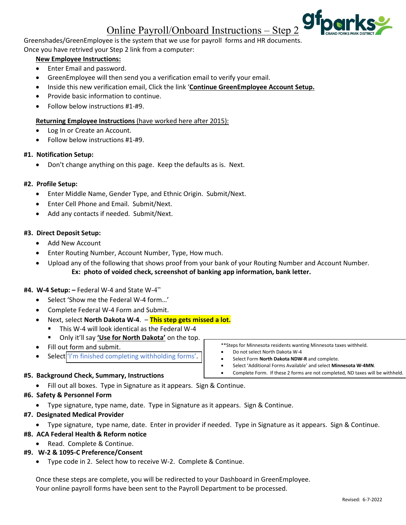## Online Payroll/Onboard Instructions – Step 2

Greenshades/GreenEmployee is the system that we use for payroll forms and HR documents. Once you have retrived your Step 2 link from a computer:

#### **New Employee Instructions:**

- Enter Email and password.
- GreenEmployee will then send you a verification email to verify your email.
- Inside this new verification email, Click the link '**Continue GreenEmployee Account Setup.**
- Provide basic information to continue.
- Follow below instructions #1-#9.

#### **Returning Employee Instructions** (have worked here after 2015):

- Log In or Create an Account.
- Follow below instructions #1-#9.

#### **#1. Notification Setup:**

• Don't change anything on this page. Keep the defaults as is. Next.

#### **#2. Profile Setup:**

- Enter Middle Name, Gender Type, and Ethnic Origin. Submit/Next.
- Enter Cell Phone and Email. Submit/Next.
- Add any contacts if needed. Submit/Next.

#### **#3. Direct Deposit Setup:**

- Add New Account
- Enter Routing Number, Account Number, Type, How much.
- Upload any of the following that shows proof from your bank of your Routing Number and Account Number. **Ex: photo of voided check, screenshot of banking app information, bank letter.**

#### **#4. W-4 Setup: –** Federal W-4 and State W-4"

- Select 'Show me the Federal W-4 form…'
- Complete Federal W-4 Form and Submit.
- Next, select **North Dakota W-4**. **This step gets missed a lot.**
	- This W-4 will look identical as the Federal W-4
	- Only it'll say **'Use for North Dakota'** on the top.
- Fill out form and submit.
- Select<sup>'</sup>I'm finished completing withholding forms'.

#### **#5. Background Check, Summary, Instructions**

• Fill out all boxes. Type in Signature as it appears. Sign & Continue.

#### **#6. Safety & Personnel Form**

- Type signature, type name, date. Type in Signature as it appears. Sign & Continue.
- **#7. Designated Medical Provider**
	- Type signature, type name, date. Enter in provider if needed. Type in Signature as it appears. Sign & Continue.

#### **#8. ACA Federal Health & Reform notice**

• Read. Complete & Continue.

#### **#9. W-2 & 1095-C Preference/Consent**

• Type code in 2. Select how to receive W-2. Complete & Continue.

Once these steps are complete, you will be redirected to your Dashboard in GreenEmployee. Your online payroll forms have been sent to the Payroll Department to be processed.

• Select Form **North Dakota NDW-R** and complete.

• Select 'Additional Forms Available' and select **Minnesota W-4MN**.

\*\*Steps for Minnesota residents wanting Minnesota taxes withheld.

• Do not select North Dakota W-4

• Complete Form. If these 2 forms are not completed, ND taxes will be withheld.